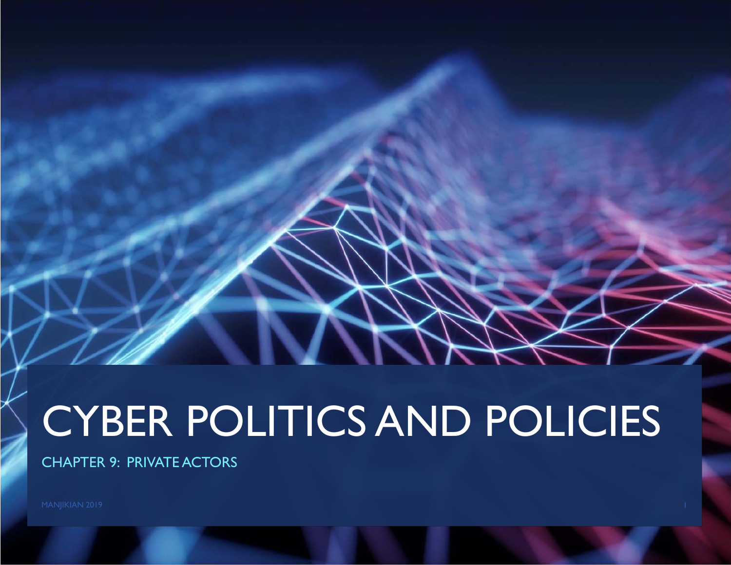# CYBER POLITICS AND POLICIES

CHAPTER 9: PRIVATE ACTORS

MANJIKIAN 2019 **1986 - Pada Secara Perancil Perancil** Perancil Perancil Perancil Perancil Perancil Perancil Perancil Perancil Perancil Perancil Perancil Perancil Perancil Perancil Perancil Perancil Perancil Perancil Peranc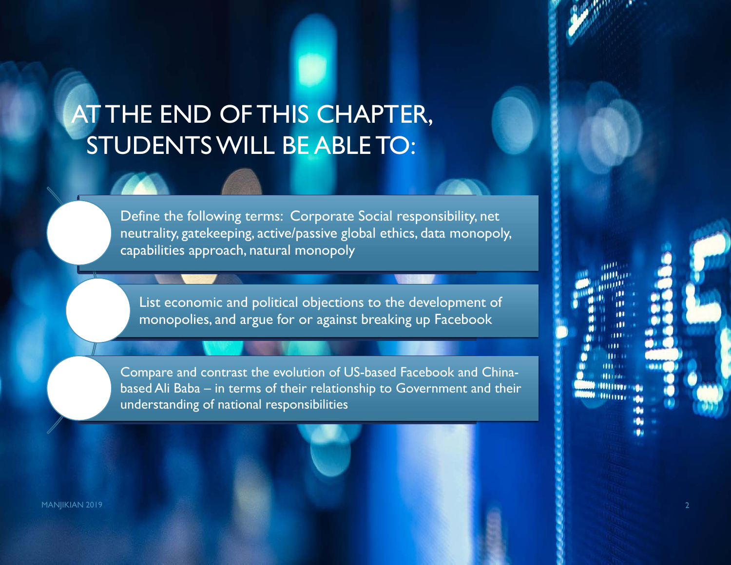# AT THE END OF THIS CHAPTER, STUDENTS WILL BE ABLE TO:

Define the following terms: Corporate Social responsibility, net neutrality, gatekeeping, active/passive global ethics, data monopoly, capabilities approach, natural monopoly

List economic and political objections to the development of monopolies, and argue for or against breaking up Facebook

Compare and contrast the evolution of US-based Facebook and Chinabased Ali Baba – in terms of their relationship to Government and their understanding of national responsibilities

MANJIKIAN 2019 **2018 - Pamasang Pamasang Pamasang Pamasang Pamasang Pamasang Pamasang Pamasang Pamasang Pamasang**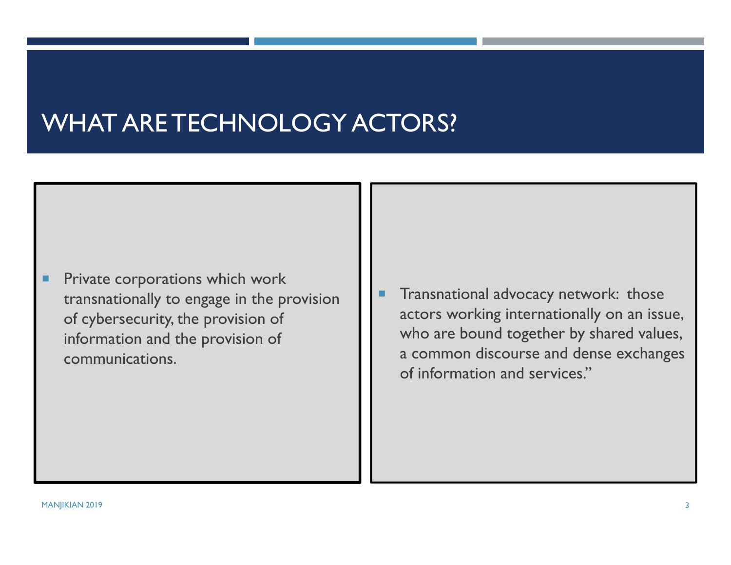# WHAT ARE TECHNOLOGY ACTORS?

- ٠ Private corporations which work transnationally to engage in the provision of cybersecurity, the provision of information and the provision of communications.
- Г Transnational advocacy network: those actors working internationally on an issue, who are bound together by shared values, a common discourse and dense exchanges of information and services."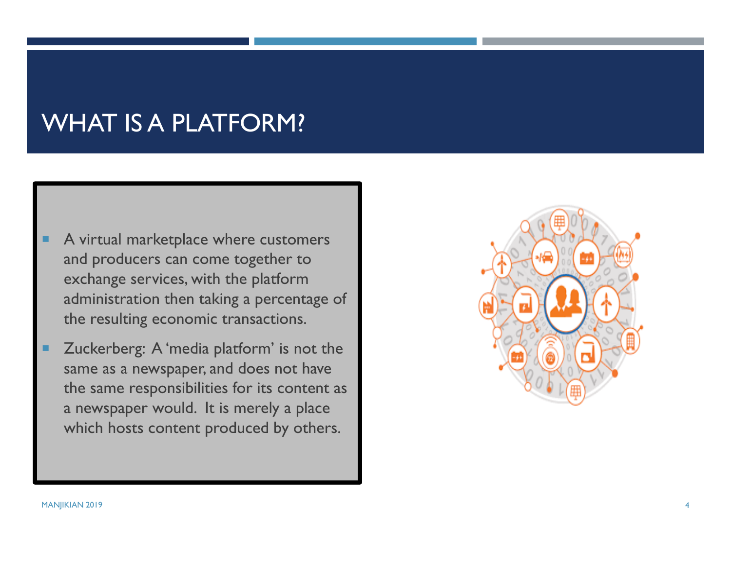## WHAT IS A PLATFORM?

- A virtual marketplace where customers and producers can come together to exchange services, with the platform administration then taking a percentage of the resulting economic transactions.
- Zuckerberg: A 'media platform' is not the same as a newspaper, and does not have the same responsibilities for its content as a newspaper would. It is merely a place which hosts content produced by others.

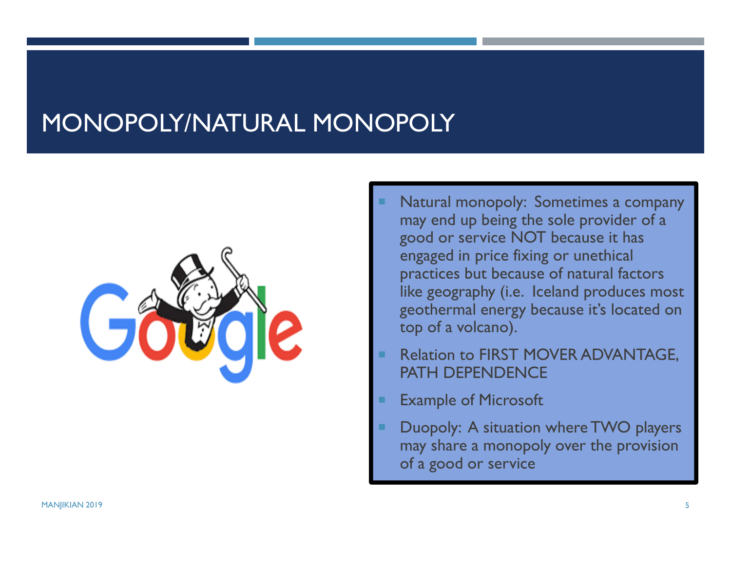## MONOPOLY/NATURAL MONOPOLY



- Natural monopoly: Sometimes a company may end up being the sole provider of a good or service NOT because it has engaged in price fixing or unethical practices but because of natural factors like geography (i.e. Iceland produces most geothermal energy because it's located on top of a volcano).
- Relation to FIRST MOVER ADVANTAGE, PATH DEPENDENCE
- Example of Microsoft
- Duopoly: A situation where TWO players may share a monopoly over the provision of a good or service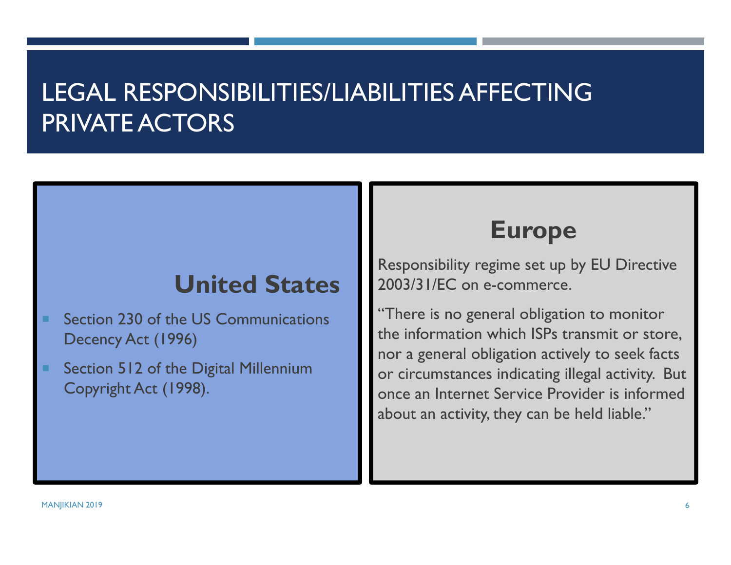# LEGAL RESPONSIBILITIES/LIABILITIES AFFECTING PRIVATE ACTORS

### **United States**

- Section 230 of the US Communications Decency Act (1996)
- Section 512 of the Digital Millennium Copyright Act (1998).

#### **Europe**

Responsibility regime set up by EU Directive 2003/31/EC on e-commerce.

"There is no general obligation to monitor the information which ISPs transmit or store, nor a general obligation actively to seek facts or circumstances indicating illegal activity. But once an Internet Service Provider is informed about an activity, they can be held liable."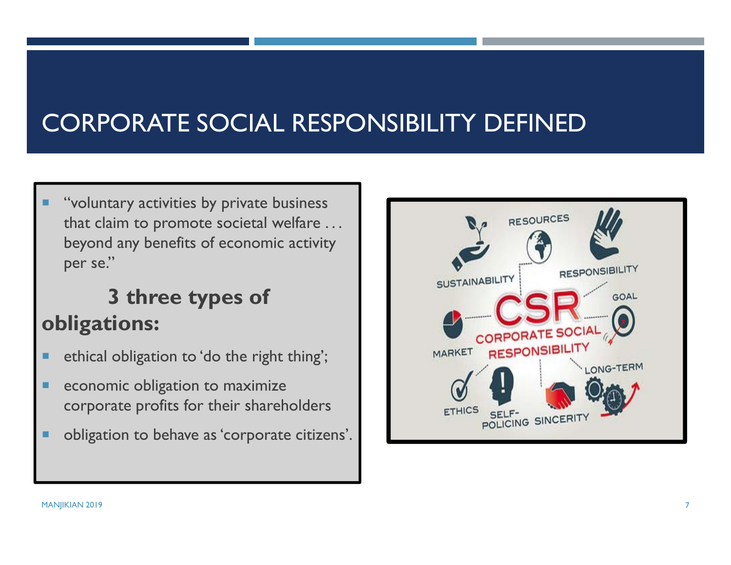# CORPORATE SOCIAL RESPONSIBILITY DEFINED

 "voluntary activities by private business that claim to promote societal welfare . . . beyond any benefits of economic activity per se."

### **3 three types of obligations:**

- ш ethical obligation to 'do the right thing';
- ٠ economic obligation to maximize corporate profits for their shareholders
- п obligation to behave as 'corporate citizens'.

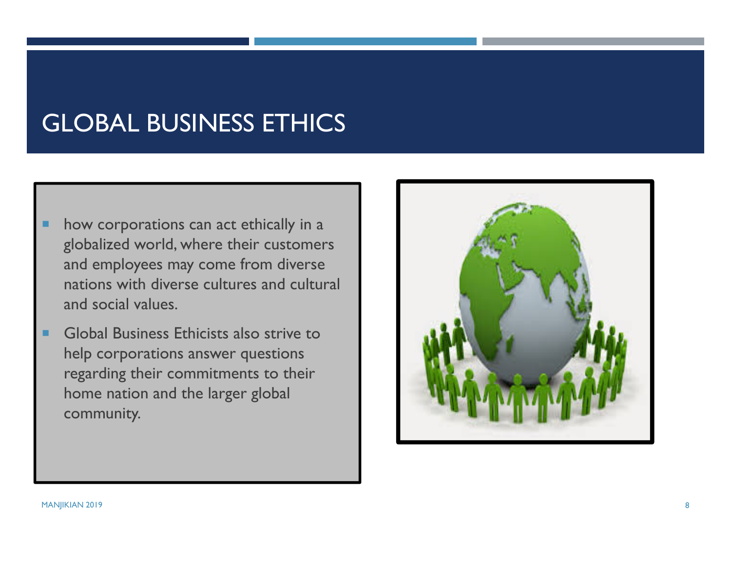# GLOBAL BUSINESS ETHICS

- п how corporations can act ethically in a globalized world, where their customers and employees may come from diverse nations with diverse cultures and cultural and social values.
- ٠ Global Business Ethicists also strive to help corporations answer questions regarding their commitments to their home nation and the larger global community.

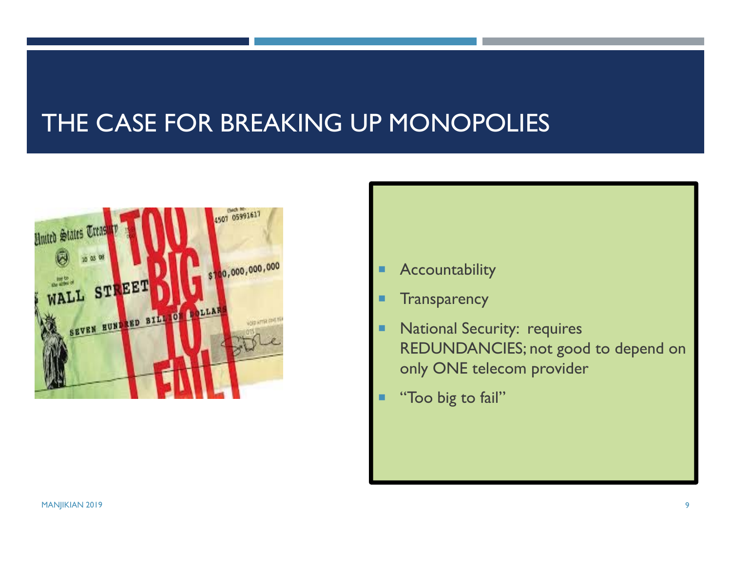# THE CASE FOR BREAKING UP MONOPOLIES



- Г Accountability
- ٠ **Transparency**
- ٠ National Security: requires REDUNDANCIES; not good to depend on only ONE telecom provider
- Ξ "Too big to fail"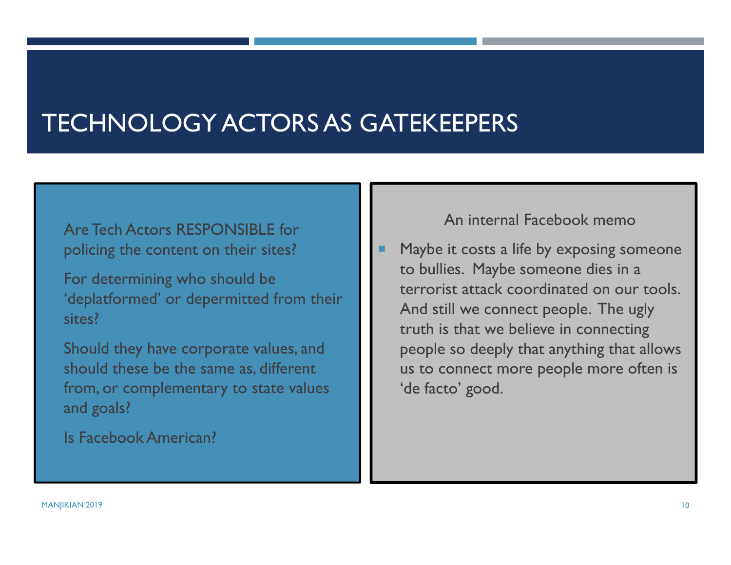# TECHNOLOGY ACTORS AS GATEKEEPERS

#### Are Tech Actors RESPONSIBLE for policing the content on their sites?

 For determining who should be 'deplatformed' or depermitted from their sites?

 Should they have corporate values, and should these be the same as, different from, or complementary to state values and goals?

Is Facebook American?

#### An internal Facebook memo

 Maybe it costs a life by exposing someone to bullies. Maybe someone dies in a terrorist attack coordinated on our tools. And still we connect people. The ugly truth is that we believe in connecting people so deeply that anything that allows us to connect more people more often is 'de facto' good.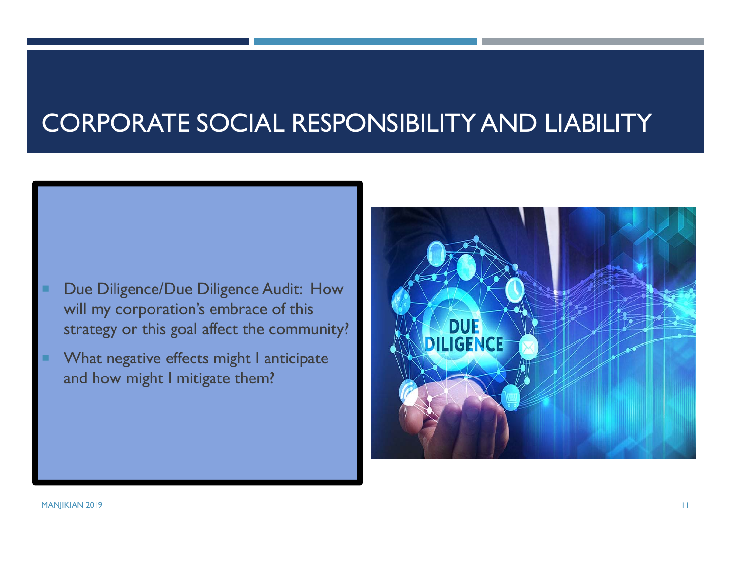# CORPORATE SOCIAL RESPONSIBILITY AND LIABILITY

- Due Diligence/Due Diligence Audit: How will my corporation's embrace of this strategy or this goal affect the community?
- What negative effects might I anticipate and how might I mitigate them?

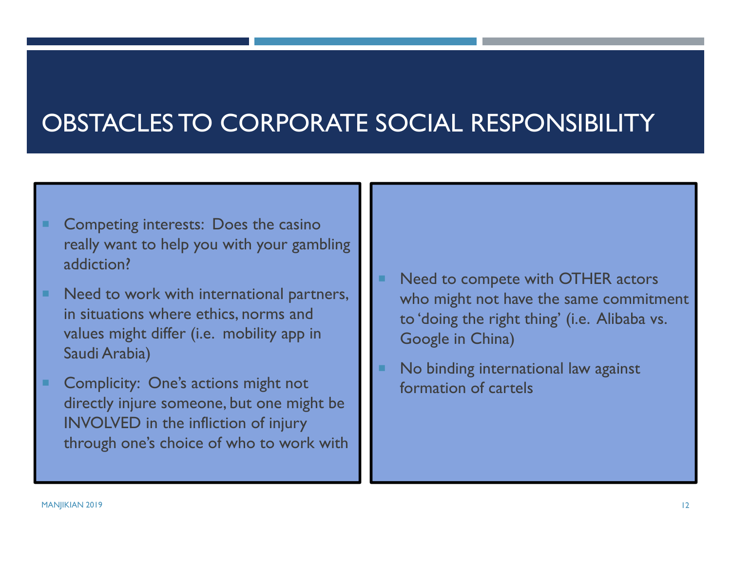# OBSTACLES TO CORPORATE SOCIAL RESPONSIBILITY

- Competing interests: Does the casino really want to help you with your gambling addiction?
- ш Need to work with international partners, in situations where ethics, norms and values might differ (i.e. mobility app in Saudi Arabia)
- п Complicity: One's actions might not directly injure someone, but one might be INVOLVED in the infliction of injury through one's choice of who to work with
- ٠ Need to compete with OTHER actors who might not have the same commitment to 'doing the right thing' (i.e. Alibaba vs. Google in China)
- No binding international law against formation of cartels